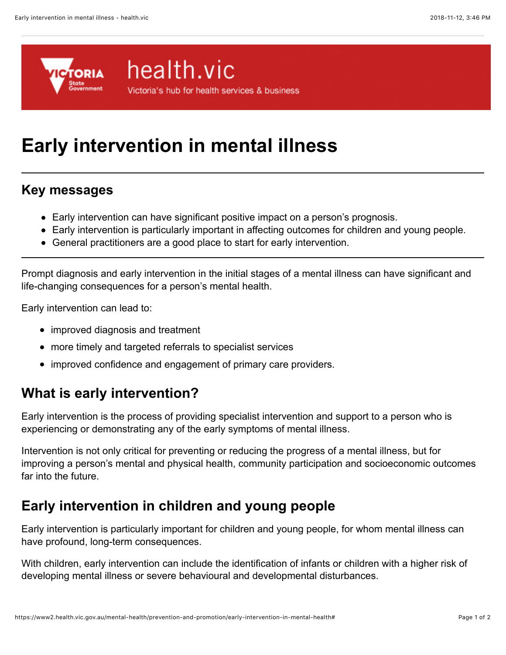

# health.vic

Victoria's hub for health services & business

# **Early intervention in mental illness**

#### **Key messages**

- Early intervention can have significant positive impact on a person's prognosis.
- Early intervention is particularly important in affecting outcomes for children and young people.
- General practitioners are a good place to start for early intervention.

Prompt diagnosis and early intervention in the initial stages of a mental illness can have significant and life-changing consequences for a person's mental health.

Early intervention can lead to:

- improved diagnosis and treatment
- more timely and targeted referrals to specialist services
- improved confidence and engagement of primary care providers.

# **What is early intervention?**

Early intervention is the process of providing specialist intervention and support to a person who is experiencing or demonstrating any of the early symptoms of mental illness.

Intervention is not only critical for preventing or reducing the progress of a mental illness, but for improving a person's mental and physical health, community participation and socioeconomic outcomes far into the future.

# **Early intervention in children and young people**

Early intervention is particularly important for children and young people, for whom mental illness can have profound, long-term consequences.

With children, early intervention can include the identification of infants or children with a higher risk of developing mental illness or severe behavioural and developmental disturbances.